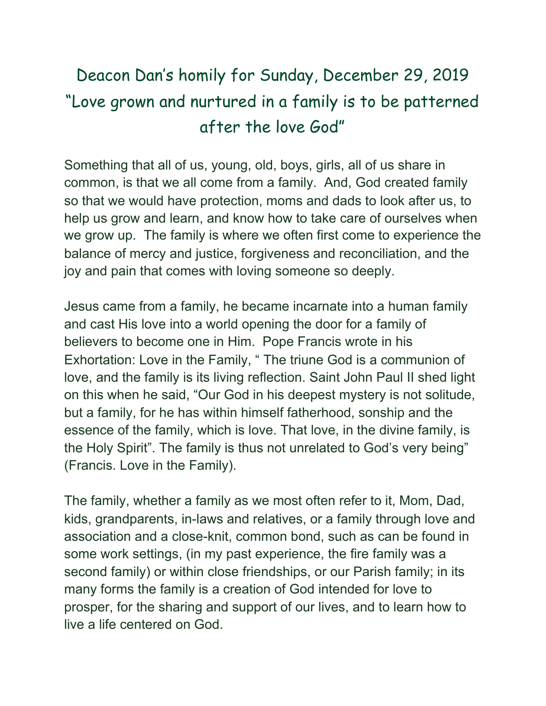## Deacon Dan's homily for Sunday, December 29, 2019 "Love grown and nurtured in a family is to be patterned after the love God"

Something that all of us, young, old, boys, girls, all of us share in common, is that we all come from a family. And, God created family so that we would have protection, moms and dads to look after us, to help us grow and learn, and know how to take care of ourselves when we grow up. The family is where we often first come to experience the balance of mercy and justice, forgiveness and reconciliation, and the joy and pain that comes with loving someone so deeply.

Jesus came from a family, he became incarnate into a human family and cast His love into a world opening the door for a family of believers to become one in Him. Pope Francis wrote in his Exhortation: Love in the Family, " The triune God is a communion of love, and the family is its living reflection. Saint John Paul II shed light on this when he said, "Our God in his deepest mystery is not solitude, but a family, for he has within himself fatherhood, sonship and the essence of the family, which is love. That love, in the divine family, is the Holy Spirit". The family is thus not unrelated to God's very being" (Francis. Love in the Family).

The family, whether a family as we most often refer to it, Mom, Dad, kids, grandparents, in-laws and relatives, or a family through love and association and a close-knit, common bond, such as can be found in some work settings, (in my past experience, the fire family was a second family) or within close friendships, or our Parish family; in its many forms the family is a creation of God intended for love to prosper, for the sharing and support of our lives, and to learn how to live a life centered on God.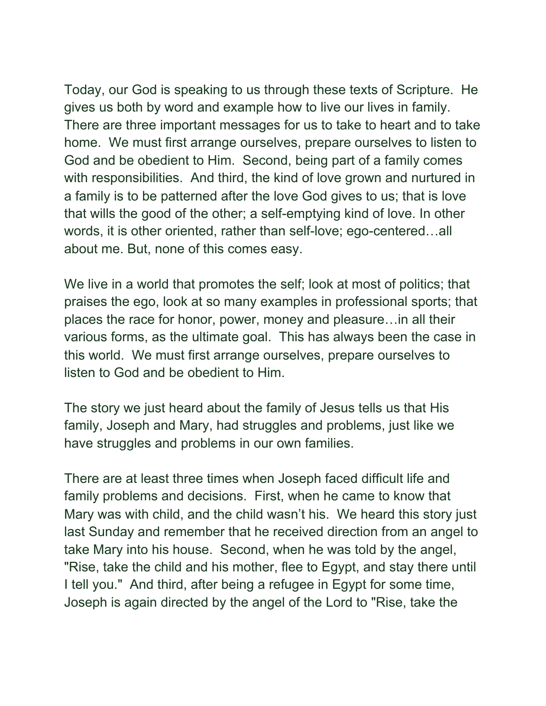Today, our God is speaking to us through these texts of Scripture. He gives us both by word and example how to live our lives in family. There are three important messages for us to take to heart and to take home. We must first arrange ourselves, prepare ourselves to listen to God and be obedient to Him. Second, being part of a family comes with responsibilities. And third, the kind of love grown and nurtured in a family is to be patterned after the love God gives to us; that is love that wills the good of the other; a self-emptying kind of love. In other words, it is other oriented, rather than self-love; ego-centered…all about me. But, none of this comes easy.

We live in a world that promotes the self; look at most of politics; that praises the ego, look at so many examples in professional sports; that places the race for honor, power, money and pleasure…in all their various forms, as the ultimate goal. This has always been the case in this world. We must first arrange ourselves, prepare ourselves to listen to God and be obedient to Him.

The story we just heard about the family of Jesus tells us that His family, Joseph and Mary, had struggles and problems, just like we have struggles and problems in our own families.

There are at least three times when Joseph faced difficult life and family problems and decisions. First, when he came to know that Mary was with child, and the child wasn't his. We heard this story just last Sunday and remember that he received direction from an angel to take Mary into his house. Second, when he was told by the angel, "Rise, take the child and his mother, flee to Egypt, and stay there until I tell you." And third, after being a refugee in Egypt for some time, Joseph is again directed by the angel of the Lord to "Rise, take the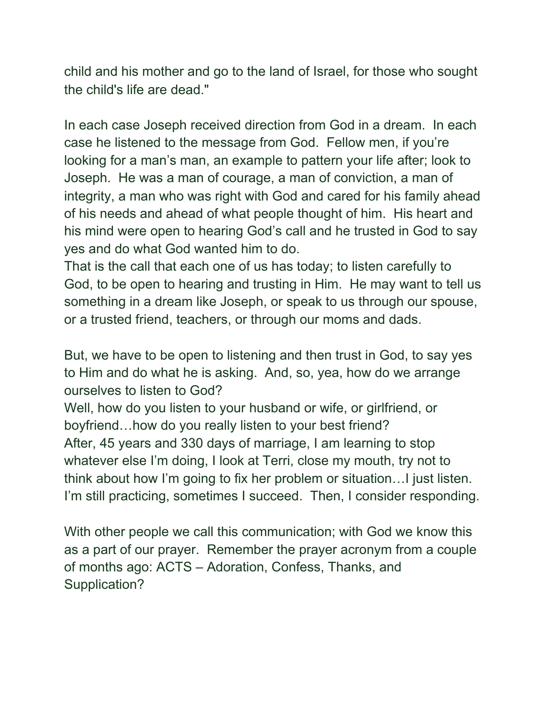child and his mother and go to the land of Israel, for those who sought the child's life are dead."

In each case Joseph received direction from God in a dream. In each case he listened to the message from God. Fellow men, if you're looking for a man's man, an example to pattern your life after; look to Joseph. He was a man of courage, a man of conviction, a man of integrity, a man who was right with God and cared for his family ahead of his needs and ahead of what people thought of him. His heart and his mind were open to hearing God's call and he trusted in God to say yes and do what God wanted him to do.

That is the call that each one of us has today; to listen carefully to God, to be open to hearing and trusting in Him. He may want to tell us something in a dream like Joseph, or speak to us through our spouse, or a trusted friend, teachers, or through our moms and dads.

But, we have to be open to listening and then trust in God, to say yes to Him and do what he is asking. And, so, yea, how do we arrange ourselves to listen to God?

Well, how do you listen to your husband or wife, or girlfriend, or boyfriend…how do you really listen to your best friend? After, 45 years and 330 days of marriage, I am learning to stop whatever else I'm doing, I look at Terri, close my mouth, try not to think about how I'm going to fix her problem or situation…I just listen. I'm still practicing, sometimes I succeed. Then, I consider responding.

With other people we call this communication; with God we know this as a part of our prayer. Remember the prayer acronym from a couple of months ago: ACTS – Adoration, Confess, Thanks, and Supplication?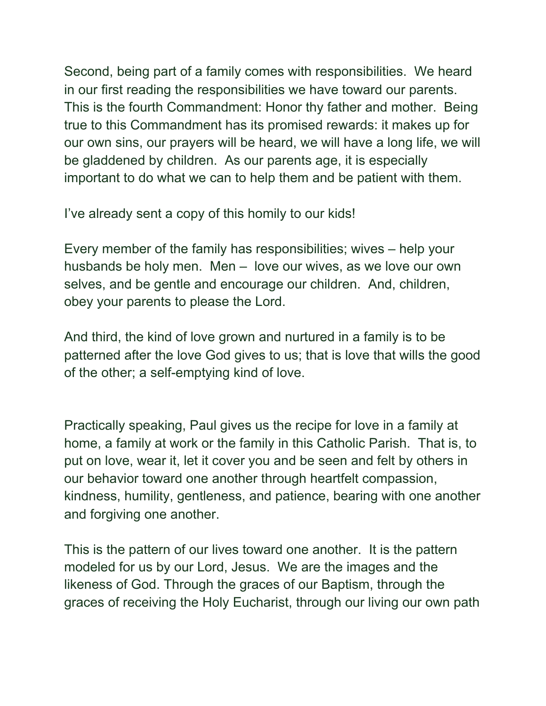Second, being part of a family comes with responsibilities. We heard in our first reading the responsibilities we have toward our parents. This is the fourth Commandment: Honor thy father and mother. Being true to this Commandment has its promised rewards: it makes up for our own sins, our prayers will be heard, we will have a long life, we will be gladdened by children. As our parents age, it is especially important to do what we can to help them and be patient with them.

I've already sent a copy of this homily to our kids!

Every member of the family has responsibilities; wives – help your husbands be holy men. Men – love our wives, as we love our own selves, and be gentle and encourage our children. And, children, obey your parents to please the Lord.

And third, the kind of love grown and nurtured in a family is to be patterned after the love God gives to us; that is love that wills the good of the other; a self-emptying kind of love.

Practically speaking, Paul gives us the recipe for love in a family at home, a family at work or the family in this Catholic Parish. That is, to put on love, wear it, let it cover you and be seen and felt by others in our behavior toward one another through heartfelt compassion, kindness, humility, gentleness, and patience, bearing with one another and forgiving one another.

This is the pattern of our lives toward one another. It is the pattern modeled for us by our Lord, Jesus. We are the images and the likeness of God. Through the graces of our Baptism, through the graces of receiving the Holy Eucharist, through our living our own path